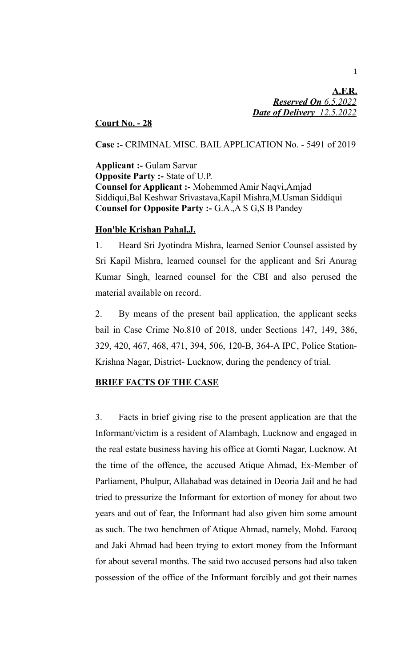**A.F.R.**  *Reserved On 6.5.2022 Date of Delivery 12.5.2022*

## **Court No. - 28**

**Case :-** CRIMINAL MISC. BAIL APPLICATION No. - 5491 of 2019

**Applicant :-** Gulam Sarvar **Opposite Party :-** State of U.P. **Counsel for Applicant :-** Mohemmed Amir Naqvi,Amjad Siddiqui,Bal Keshwar Srivastava,Kapil Mishra,M.Usman Siddiqui **Counsel for Opposite Party :-** G.A.,A S G,S B Pandey

## **Hon'ble Krishan Pahal,J.**

1. Heard Sri Jyotindra Mishra, learned Senior Counsel assisted by Sri Kapil Mishra, learned counsel for the applicant and Sri Anurag Kumar Singh, learned counsel for the CBI and also perused the material available on record.

2. By means of the present bail application, the applicant seeks bail in Case Crime No.810 of 2018, under Sections 147, 149, 386, 329, 420, 467, 468, 471, 394, 506, 120-B, 364-A IPC, Police Station-Krishna Nagar, District- Lucknow, during the pendency of trial.

# **BRIEF FACTS OF THE CASE**

3. Facts in brief giving rise to the present application are that the Informant/victim is a resident of Alambagh, Lucknow and engaged in the real estate business having his office at Gomti Nagar, Lucknow. At the time of the offence, the accused Atique Ahmad, Ex-Member of Parliament, Phulpur, Allahabad was detained in Deoria Jail and he had tried to pressurize the Informant for extortion of money for about two years and out of fear, the Informant had also given him some amount as such. The two henchmen of Atique Ahmad, namely, Mohd. Farooq and Jaki Ahmad had been trying to extort money from the Informant for about several months. The said two accused persons had also taken possession of the office of the Informant forcibly and got their names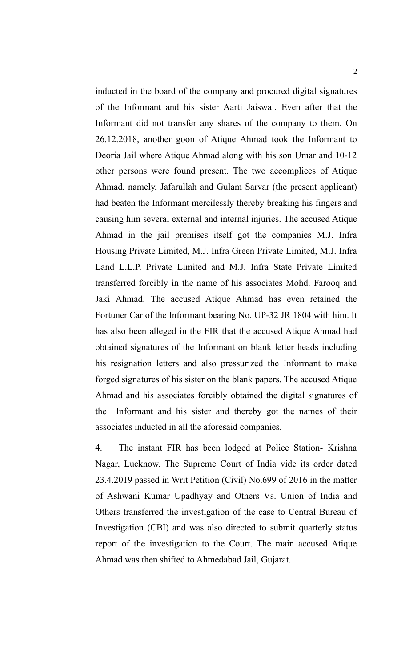inducted in the board of the company and procured digital signatures of the Informant and his sister Aarti Jaiswal. Even after that the Informant did not transfer any shares of the company to them. On 26.12.2018, another goon of Atique Ahmad took the Informant to Deoria Jail where Atique Ahmad along with his son Umar and 10-12 other persons were found present. The two accomplices of Atique Ahmad, namely, Jafarullah and Gulam Sarvar (the present applicant) had beaten the Informant mercilessly thereby breaking his fingers and causing him several external and internal injuries. The accused Atique Ahmad in the jail premises itself got the companies M.J. Infra Housing Private Limited, M.J. Infra Green Private Limited, M.J. Infra Land L.L.P. Private Limited and M.J. Infra State Private Limited transferred forcibly in the name of his associates Mohd. Farooq and Jaki Ahmad. The accused Atique Ahmad has even retained the Fortuner Car of the Informant bearing No. UP-32 JR 1804 with him. It has also been alleged in the FIR that the accused Atique Ahmad had obtained signatures of the Informant on blank letter heads including his resignation letters and also pressurized the Informant to make forged signatures of his sister on the blank papers. The accused Atique Ahmad and his associates forcibly obtained the digital signatures of the Informant and his sister and thereby got the names of their associates inducted in all the aforesaid companies.

4. The instant FIR has been lodged at Police Station- Krishna Nagar, Lucknow. The Supreme Court of India vide its order dated 23.4.2019 passed in Writ Petition (Civil) No.699 of 2016 in the matter of Ashwani Kumar Upadhyay and Others Vs. Union of India and Others transferred the investigation of the case to Central Bureau of Investigation (CBI) and was also directed to submit quarterly status report of the investigation to the Court. The main accused Atique Ahmad was then shifted to Ahmedabad Jail, Gujarat.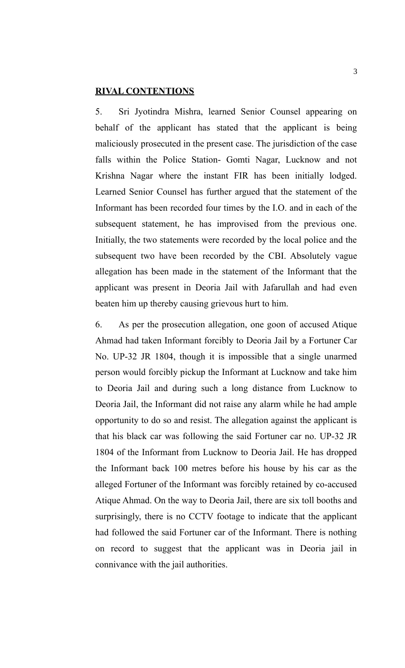## **RIVAL CONTENTIONS**

5. Sri Jyotindra Mishra, learned Senior Counsel appearing on behalf of the applicant has stated that the applicant is being maliciously prosecuted in the present case. The jurisdiction of the case falls within the Police Station- Gomti Nagar, Lucknow and not Krishna Nagar where the instant FIR has been initially lodged. Learned Senior Counsel has further argued that the statement of the Informant has been recorded four times by the I.O. and in each of the subsequent statement, he has improvised from the previous one. Initially, the two statements were recorded by the local police and the subsequent two have been recorded by the CBI. Absolutely vague allegation has been made in the statement of the Informant that the applicant was present in Deoria Jail with Jafarullah and had even beaten him up thereby causing grievous hurt to him.

6. As per the prosecution allegation, one goon of accused Atique Ahmad had taken Informant forcibly to Deoria Jail by a Fortuner Car No. UP-32 JR 1804, though it is impossible that a single unarmed person would forcibly pickup the Informant at Lucknow and take him to Deoria Jail and during such a long distance from Lucknow to Deoria Jail, the Informant did not raise any alarm while he had ample opportunity to do so and resist. The allegation against the applicant is that his black car was following the said Fortuner car no. UP-32 JR 1804 of the Informant from Lucknow to Deoria Jail. He has dropped the Informant back 100 metres before his house by his car as the alleged Fortuner of the Informant was forcibly retained by co-accused Atique Ahmad. On the way to Deoria Jail, there are six toll booths and surprisingly, there is no CCTV footage to indicate that the applicant had followed the said Fortuner car of the Informant. There is nothing on record to suggest that the applicant was in Deoria jail in connivance with the jail authorities.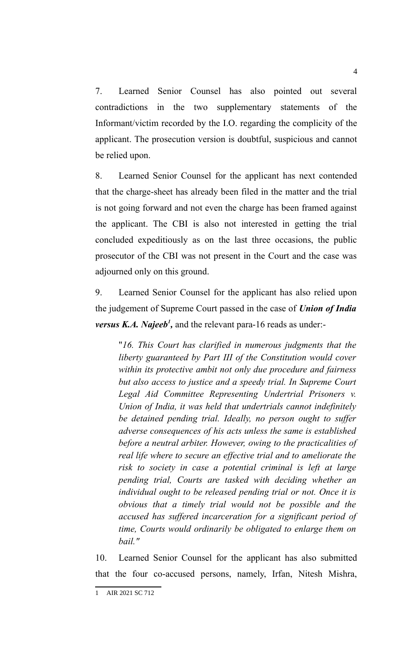7. Learned Senior Counsel has also pointed out several contradictions in the two supplementary statements of the Informant/victim recorded by the I.O. regarding the complicity of the applicant. The prosecution version is doubtful, suspicious and cannot be relied upon.

8. Learned Senior Counsel for the applicant has next contended that the charge-sheet has already been filed in the matter and the trial is not going forward and not even the charge has been framed against the applicant. The CBI is also not interested in getting the trial concluded expeditiously as on the last three occasions, the public prosecutor of the CBI was not present in the Court and the case was adjourned only on this ground.

9. Learned Senior Counsel for the applicant has also relied upon the judgement of Supreme Court passed in the case of *Union of India versus K.A. Najeeb<sup>1</sup>*, and the relevant para-16 reads as under:-

"*16. This Court has clarified in numerous judgments that the liberty guaranteed by Part III of the Constitution would cover within its protective ambit not only due procedure and fairness but also access to justice and a speedy trial. In Supreme Court Legal Aid Committee Representing Undertrial Prisoners v. Union of India, it was held that undertrials cannot indefinitely be detained pending trial. Ideally, no person ought to suffer adverse consequences of his acts unless the same is established before a neutral arbiter. However, owing to the practicalities of real life where to secure an effective trial and to ameliorate the risk to society in case a potential criminal is left at large pending trial, Courts are tasked with deciding whether an individual ought to be released pending trial or not. Once it is obvious that a timely trial would not be possible and the accused has suffered incarceration for a significant period of time, Courts would ordinarily be obligated to enlarge them on bail."*

10. Learned Senior Counsel for the applicant has also submitted that the four co-accused persons, namely, Irfan, Nitesh Mishra,

<sup>1</sup> AIR 2021 SC 712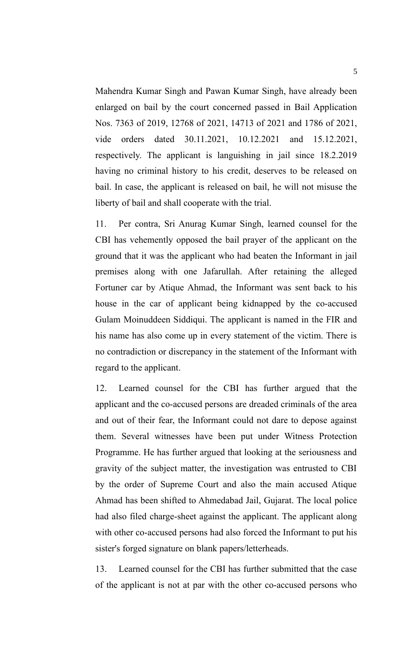Mahendra Kumar Singh and Pawan Kumar Singh, have already been enlarged on bail by the court concerned passed in Bail Application Nos. 7363 of 2019, 12768 of 2021, 14713 of 2021 and 1786 of 2021, vide orders dated 30.11.2021, 10.12.2021 and 15.12.2021, respectively. The applicant is languishing in jail since 18.2.2019 having no criminal history to his credit, deserves to be released on bail. In case, the applicant is released on bail, he will not misuse the liberty of bail and shall cooperate with the trial.

11. Per contra, Sri Anurag Kumar Singh, learned counsel for the CBI has vehemently opposed the bail prayer of the applicant on the ground that it was the applicant who had beaten the Informant in jail premises along with one Jafarullah. After retaining the alleged Fortuner car by Atique Ahmad, the Informant was sent back to his house in the car of applicant being kidnapped by the co-accused Gulam Moinuddeen Siddiqui. The applicant is named in the FIR and his name has also come up in every statement of the victim. There is no contradiction or discrepancy in the statement of the Informant with regard to the applicant.

12. Learned counsel for the CBI has further argued that the applicant and the co-accused persons are dreaded criminals of the area and out of their fear, the Informant could not dare to depose against them. Several witnesses have been put under Witness Protection Programme. He has further argued that looking at the seriousness and gravity of the subject matter, the investigation was entrusted to CBI by the order of Supreme Court and also the main accused Atique Ahmad has been shifted to Ahmedabad Jail, Gujarat. The local police had also filed charge-sheet against the applicant. The applicant along with other co-accused persons had also forced the Informant to put his sister's forged signature on blank papers/letterheads.

13. Learned counsel for the CBI has further submitted that the case of the applicant is not at par with the other co-accused persons who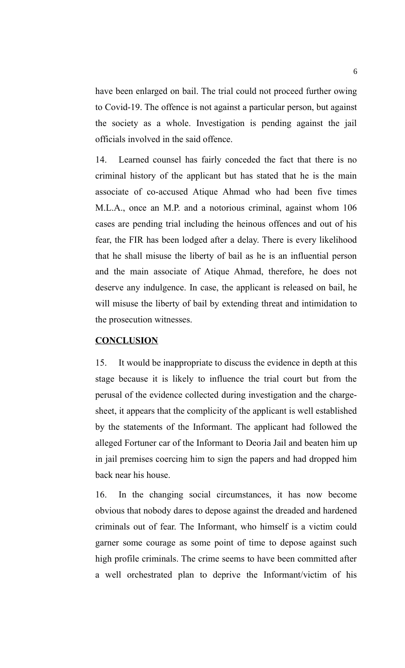have been enlarged on bail. The trial could not proceed further owing to Covid-19. The offence is not against a particular person, but against the society as a whole. Investigation is pending against the jail officials involved in the said offence.

14. Learned counsel has fairly conceded the fact that there is no criminal history of the applicant but has stated that he is the main associate of co-accused Atique Ahmad who had been five times M.L.A., once an M.P. and a notorious criminal, against whom 106 cases are pending trial including the heinous offences and out of his fear, the FIR has been lodged after a delay. There is every likelihood that he shall misuse the liberty of bail as he is an influential person and the main associate of Atique Ahmad, therefore, he does not deserve any indulgence. In case, the applicant is released on bail, he will misuse the liberty of bail by extending threat and intimidation to the prosecution witnesses.

#### **CONCLUSION**

15. It would be inappropriate to discuss the evidence in depth at this stage because it is likely to influence the trial court but from the perusal of the evidence collected during investigation and the chargesheet, it appears that the complicity of the applicant is well established by the statements of the Informant. The applicant had followed the alleged Fortuner car of the Informant to Deoria Jail and beaten him up in jail premises coercing him to sign the papers and had dropped him back near his house.

16. In the changing social circumstances, it has now become obvious that nobody dares to depose against the dreaded and hardened criminals out of fear. The Informant, who himself is a victim could garner some courage as some point of time to depose against such high profile criminals. The crime seems to have been committed after a well orchestrated plan to deprive the Informant/victim of his